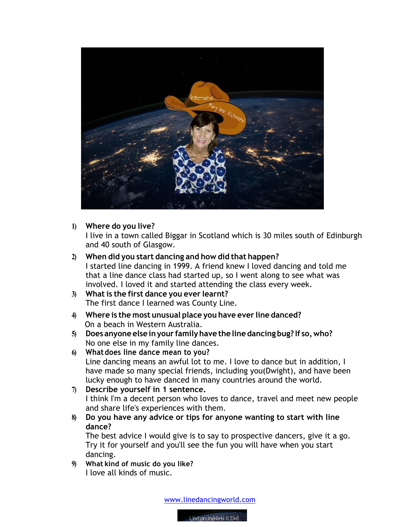

**1) Where do you live?**

I live in a town called Biggar in Scotland which is 30 miles south of Edinburgh and 40 south of Glasgow.

## **2) When did you start dancing and how did that happen?**

I started line dancing in 1999. A friend knew I loved dancing and told me that a line dance class had started up, so I went along to see what was involved. I loved it and started attending the class every week.

- **3) What is the first dance you ever learnt?** The first dance I learned was County Line.
- **4) Where is the most unusual place you have ever line danced?** On a beach in Western Australia.
- **5) Does anyone else inyour familyhave the line dancing bug? If so,who?** No one else in my family line dances.
- **6) Whatdoes line dance mean to you?** Line dancing means an awful lot to me. I love to dance but in addition, I have made so many special friends, including you(Dwight), and have been lucky enough to have danced in many countries around the world.
- **7) Describe yourself in 1 sentence.**  I think I'm a decent person who loves to dance, travel and meet new people and share life's experiences with them.
- **8) Do you have any advice or tips for anyone wanting to start with line dance?**

The best advice I would give is to say to prospective dancers, give it a go. Try it for yourself and you'll see the fun you will have when you start dancing.

**9) What kind of music do you like?** I love all kinds of music.

www.linedancingworld.com

LineDancingWorld (LDW)